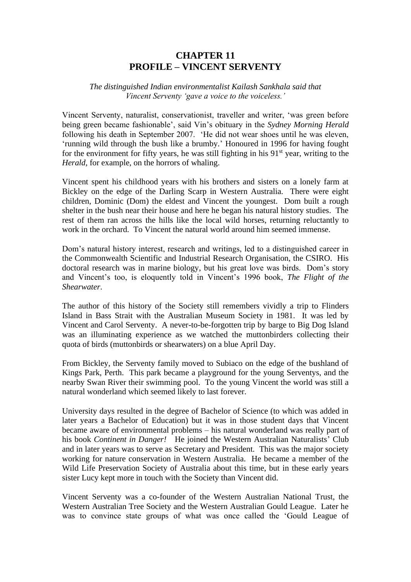## **CHAPTER 11 PROFILE – VINCENT SERVENTY**

## *The distinguished Indian environmentalist Kailash Sankhala said that Vincent Serventy 'gave a voice to the voiceless.'*

Vincent Serventy, naturalist, conservationist, traveller and writer, 'was green before being green became fashionable', said Vin's obituary in the *Sydney Morning Herald* following his death in September 2007. 'He did not wear shoes until he was eleven, 'running wild through the bush like a brumby.' Honoured in 1996 for having fought for the environment for fifty years, he was still fighting in his  $91<sup>st</sup>$  year, writing to the *Herald,* for example, on the horrors of whaling.

Vincent spent his childhood years with his brothers and sisters on a lonely farm at Bickley on the edge of the Darling Scarp in Western Australia. There were eight children, Dominic (Dom) the eldest and Vincent the youngest. Dom built a rough shelter in the bush near their house and here he began his natural history studies. The rest of them ran across the hills like the local wild horses, returning reluctantly to work in the orchard. To Vincent the natural world around him seemed immense.

Dom's natural history interest, research and writings, led to a distinguished career in the Commonwealth Scientific and Industrial Research Organisation, the CSIRO. His doctoral research was in marine biology, but his great love was birds. Dom's story and Vincent's too, is eloquently told in Vincent's 1996 book, *The Flight of the Shearwater*.

The author of this history of the Society still remembers vividly a trip to Flinders Island in Bass Strait with the Australian Museum Society in 1981. It was led by Vincent and Carol Serventy. A never-to-be-forgotten trip by barge to Big Dog Island was an illuminating experience as we watched the muttonbirders collecting their quota of birds (muttonbirds or shearwaters) on a blue April Day.

From Bickley, the Serventy family moved to Subiaco on the edge of the bushland of Kings Park, Perth. This park became a playground for the young Serventys, and the nearby Swan River their swimming pool. To the young Vincent the world was still a natural wonderland which seemed likely to last forever.

University days resulted in the degree of Bachelor of Science (to which was added in later years a Bachelor of Education) but it was in those student days that Vincent became aware of environmental problems – his natural wonderland was really part of his book *Continent in Danger!* He joined the Western Australian Naturalists' Club and in later years was to serve as Secretary and President. This was the major society working for nature conservation in Western Australia. He became a member of the Wild Life Preservation Society of Australia about this time, but in these early years sister Lucy kept more in touch with the Society than Vincent did.

Vincent Serventy was a co-founder of the Western Australian National Trust, the Western Australian Tree Society and the Western Australian Gould League. Later he was to convince state groups of what was once called the 'Gould League of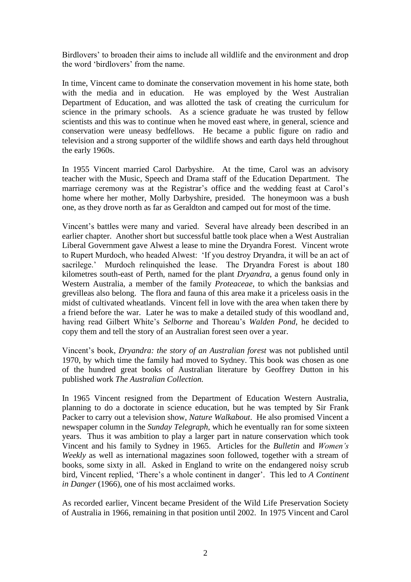Birdlovers' to broaden their aims to include all wildlife and the environment and drop the word 'birdlovers' from the name.

In time, Vincent came to dominate the conservation movement in his home state, both with the media and in education. He was employed by the West Australian Department of Education, and was allotted the task of creating the curriculum for science in the primary schools. As a science graduate he was trusted by fellow scientists and this was to continue when he moved east where, in general, science and conservation were uneasy bedfellows. He became a public figure on radio and television and a strong supporter of the wildlife shows and earth days held throughout the early 1960s.

In 1955 Vincent married Carol Darbyshire. At the time, Carol was an advisory teacher with the Music, Speech and Drama staff of the Education Department. The marriage ceremony was at the Registrar's office and the wedding feast at Carol's home where her mother, Molly Darbyshire, presided. The honeymoon was a bush one, as they drove north as far as Geraldton and camped out for most of the time.

Vincent's battles were many and varied. Several have already been described in an earlier chapter. Another short but successful battle took place when a West Australian Liberal Government gave Alwest a lease to mine the Dryandra Forest. Vincent wrote to Rupert Murdoch, who headed Alwest: 'If you destroy Dryandra, it will be an act of sacrilege.' Murdoch relinquished the lease. The Dryandra Forest is about 180 kilometres south-east of Perth, named for the plant *Dryandra*, a genus found only in Western Australia, a member of the family *Proteaceae*, to which the banksias and grevilleas also belong. The flora and fauna of this area make it a priceless oasis in the midst of cultivated wheatlands. Vincent fell in love with the area when taken there by a friend before the war. Later he was to make a detailed study of this woodland and, having read Gilbert White's *Selborne* and Thoreau's *Walden Pond*, he decided to copy them and tell the story of an Australian forest seen over a year.

Vincent's book, *Dryandra: the story of an Australian forest* was not published until 1970, by which time the family had moved to Sydney. This book was chosen as one of the hundred great books of Australian literature by Geoffrey Dutton in his published work *The Australian Collection.*

In 1965 Vincent resigned from the Department of Education Western Australia, planning to do a doctorate in science education, but he was tempted by Sir Frank Packer to carry out a television show, *Nature Walkabout*. He also promised Vincent a newspaper column in the *Sunday Telegraph*, which he eventually ran for some sixteen years. Thus it was ambition to play a larger part in nature conservation which took Vincent and his family to Sydney in 1965. Articles for the *Bulletin* and *Women's Weekly* as well as international magazines soon followed, together with a stream of books, some sixty in all. Asked in England to write on the endangered noisy scrub bird, Vincent replied, 'There's a whole continent in danger'. This led to *A Continent in Danger* (1966), one of his most acclaimed works.

As recorded earlier, Vincent became President of the Wild Life Preservation Society of Australia in 1966, remaining in that position until 2002. In 1975 Vincent and Carol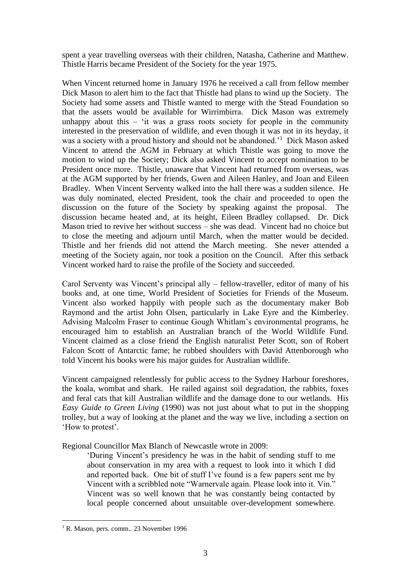spent a year travelling overseas with their children, Natasha, Catherine and Matthew. Thistle Harris became President of the Society for the year 1975.

When Vincent returned home in January 1976 he received a call from fellow member Dick Mason to alert him to the fact that Thistle had plans to wind up the Society. The Society had some assets and Thistle wanted to merge with the Stead Foundation so that the assets would be available for Wirrimbirra. Dick Mason was extremely unhappy about this  $-$  'it was a grass roots society for people in the community interested in the preservation of wildlife, and even though it was not in its heyday, it was a society with a proud history and should not be abandoned.'<sup>1</sup> Dick Mason asked Vincent to attend the AGM in February at which Thistle was going to move the motion to wind up the Society; Dick also asked Vincent to accept nomination to be President once more. Thistle, unaware that Vincent had returned from overseas, was at the AGM supported by her friends, Gwen and Aileen Hanley, and Joan and Eileen Bradley. When Vincent Serventy walked into the hall there was a sudden silence. He was duly nominated, elected President, took the chair and proceeded to open the discussion on the future of the Society by speaking against the proposal. The discussion became heated and, at its height, Eileen Bradley collapsed. Dr. Dick Mason tried to revive her without success – she was dead. Vincent had no choice but to close the meeting and adjourn until March, when the matter would be decided. Thistle and her friends did not attend the March meeting. She never attended a meeting of the Society again, nor took a position on the Council. After this setback Vincent worked hard to raise the profile of the Society and succeeded.

Carol Serventy was Vincent's principal ally – fellow-traveller, editor of many of his books and, at one time, World President of Societies for Friends of the Museum. Vincent also worked happily with people such as the documentary maker Bob Raymond and the artist John Olsen, particularly in Lake Eyre and the Kimberley. Advising Malcolm Fraser to continue Gough Whitlam's environmental programs, he encouraged him to establish an Australian branch of the World Wildlife Fund. Vincent claimed as a close friend the English naturalist Peter Scott, son of Robert Falcon Scott of Antarctic fame; he rubbed shoulders with David Attenborough who told Vincent his books were his major guides for Australian wildlife.

Vincent campaigned relentlessly for public access to the Sydney Harbour foreshores, the koala, wombat and shark. He railed against soil degradation, the rabbits, foxes and feral cats that kill Australian wildlife and the damage done to our wetlands. His *Easy Guide to Green Living* (1990) was not just about what to put in the shopping trolley, but a way of looking at the planet and the way we live, including a section on 'How to protest'.

Regional Councillor Max Blanch of Newcastle wrote in 2009:

'During Vincent's presidency he was in the habit of sending stuff to me about conservation in my area with a request to look into it which I did and reported back. One bit of stuff I've found is a few papers sent me by Vincent with a scribbled note "Warnervale again. Please look into it. Vin." Vincent was so well known that he was constantly being contacted by local people concerned about unsuitable over-development somewhere.

<sup>&</sup>lt;sup>1</sup> R. Mason, pers. comm.. 23 November 1996